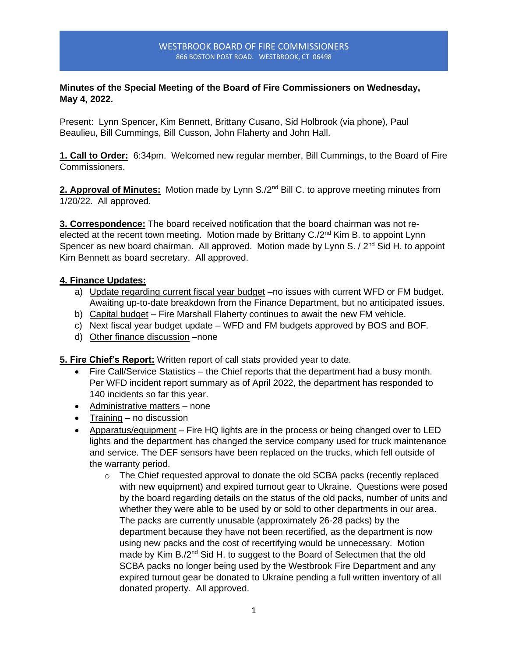#### WESTBROOK BOARD OF FIRE COMMISSIONERS 866 BOSTON POST ROAD. WESTBROOK, CT 06498

# **Minutes of the Special Meeting of the Board of Fire Commissioners on Wednesday, May 4, 2022.**

Present: Lynn Spencer, Kim Bennett, Brittany Cusano, Sid Holbrook (via phone), Paul Beaulieu, Bill Cummings, Bill Cusson, John Flaherty and John Hall.

**1. Call to Order:** 6:34pm. Welcomed new regular member, Bill Cummings, to the Board of Fire Commissioners.

**2. Approval of Minutes:** Motion made by Lynn S./2<sup>nd</sup> Bill C. to approve meeting minutes from 1/20/22. All approved.

**3. Correspondence:** The board received notification that the board chairman was not reelected at the recent town meeting. Motion made by Brittany  $C_{\alpha}/2^{nd}$  Kim B. to appoint Lynn Spencer as new board chairman. All approved. Motion made by Lynn S. / 2<sup>nd</sup> Sid H. to appoint Kim Bennett as board secretary. All approved.

# **4. Finance Updates:**

- a) Update regarding current fiscal year budget –no issues with current WFD or FM budget. Awaiting up-to-date breakdown from the Finance Department, but no anticipated issues.
- b) Capital budget Fire Marshall Flaherty continues to await the new FM vehicle.
- c) Next fiscal year budget update WFD and FM budgets approved by BOS and BOF.
- d) Other finance discussion –none

**5. Fire Chief's Report:** Written report of call stats provided year to date.

- Fire Call/Service Statistics the Chief reports that the department had a busy month. Per WFD incident report summary as of April 2022, the department has responded to 140 incidents so far this year.
- Administrative matters none
- Training no discussion
- Apparatus/equipment Fire HQ lights are in the process or being changed over to LED lights and the department has changed the service company used for truck maintenance and service. The DEF sensors have been replaced on the trucks, which fell outside of the warranty period.
	- $\circ$  The Chief requested approval to donate the old SCBA packs (recently replaced with new equipment) and expired turnout gear to Ukraine. Questions were posed by the board regarding details on the status of the old packs, number of units and whether they were able to be used by or sold to other departments in our area. The packs are currently unusable (approximately 26-28 packs) by the department because they have not been recertified, as the department is now using new packs and the cost of recertifying would be unnecessary. Motion made by Kim B./2<sup>nd</sup> Sid H. to suggest to the Board of Selectmen that the old SCBA packs no longer being used by the Westbrook Fire Department and any expired turnout gear be donated to Ukraine pending a full written inventory of all donated property. All approved.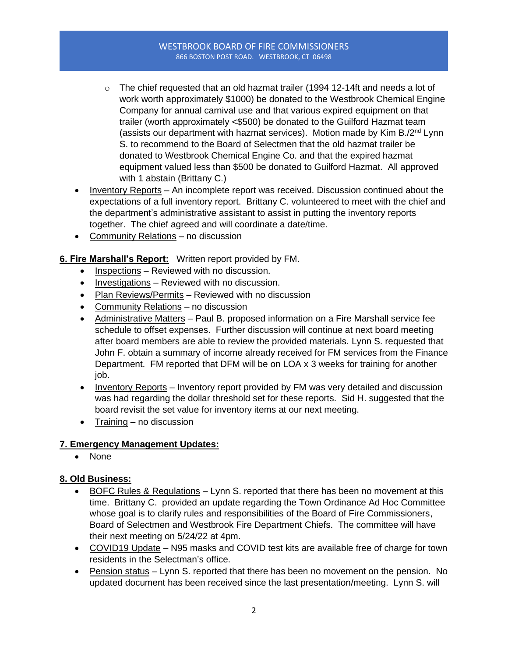#### WESTBROOK BOARD OF FIRE COMMISSIONERS 866 BOSTON POST ROAD. WESTBROOK, CT 06498

- $\circ$  The chief requested that an old hazmat trailer (1994 12-14ft and needs a lot of work worth approximately \$1000) be donated to the Westbrook Chemical Engine Company for annual carnival use and that various expired equipment on that trailer (worth approximately <\$500) be donated to the Guilford Hazmat team (assists our department with hazmat services). Motion made by Kim B./ $2<sup>nd</sup>$  Lynn S. to recommend to the Board of Selectmen that the old hazmat trailer be donated to Westbrook Chemical Engine Co. and that the expired hazmat equipment valued less than \$500 be donated to Guilford Hazmat. All approved with 1 abstain (Brittany C.)
- Inventory Reports An incomplete report was received. Discussion continued about the expectations of a full inventory report. Brittany C. volunteered to meet with the chief and the department's administrative assistant to assist in putting the inventory reports together. The chief agreed and will coordinate a date/time.
- Community Relations no discussion

# **6. Fire Marshall's Report:** Written report provided by FM.

- Inspections Reviewed with no discussion.
- Investigations Reviewed with no discussion.
- Plan Reviews/Permits Reviewed with no discussion
- Community Relations no discussion
- Administrative Matters Paul B. proposed information on a Fire Marshall service fee schedule to offset expenses. Further discussion will continue at next board meeting after board members are able to review the provided materials. Lynn S. requested that John F. obtain a summary of income already received for FM services from the Finance Department. FM reported that DFM will be on LOA x 3 weeks for training for another job.
- Inventory Reports Inventory report provided by FM was very detailed and discussion was had regarding the dollar threshold set for these reports. Sid H. suggested that the board revisit the set value for inventory items at our next meeting.
- Training no discussion

# **7. Emergency Management Updates:**

• None

# **8. Old Business:**

- BOFC Rules & Regulations Lynn S. reported that there has been no movement at this time. Brittany C. provided an update regarding the Town Ordinance Ad Hoc Committee whose goal is to clarify rules and responsibilities of the Board of Fire Commissioners, Board of Selectmen and Westbrook Fire Department Chiefs. The committee will have their next meeting on 5/24/22 at 4pm.
- COVID19 Update N95 masks and COVID test kits are available free of charge for town residents in the Selectman's office.
- Pension status Lynn S. reported that there has been no movement on the pension. No updated document has been received since the last presentation/meeting. Lynn S. will